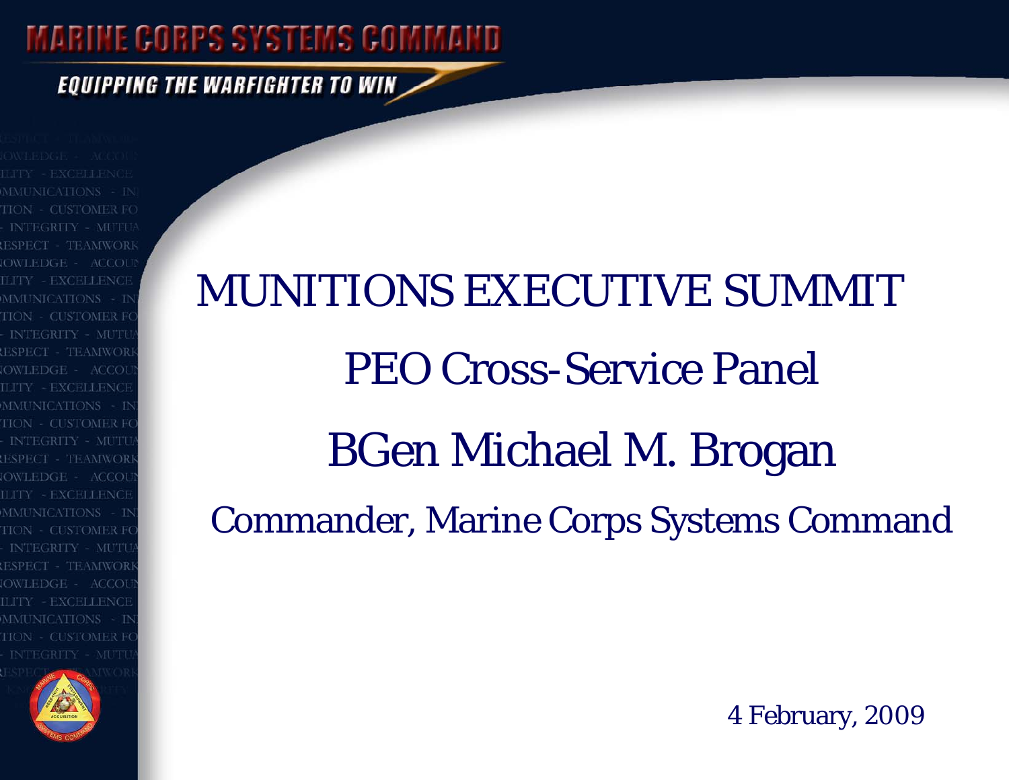**EQUIPPING THE WARFIGHTER TO WIN** 

INTEGRITY - MUTU - TEAMWORI **EXCELLENCE** OWLEDGE = ACCOL **MMUNICATIONS INTEGRITY - MUTU** ESPECT - 'TEAMWOR' OWLEDGE - ACCOL LITY - EXCELLENCE



# MUNITIONS EXECUTIVE SUMMITPEO Cross-Service Panel BGen Michael M. Brogan Commander, Marine Corps Systems Command

4 February, 2009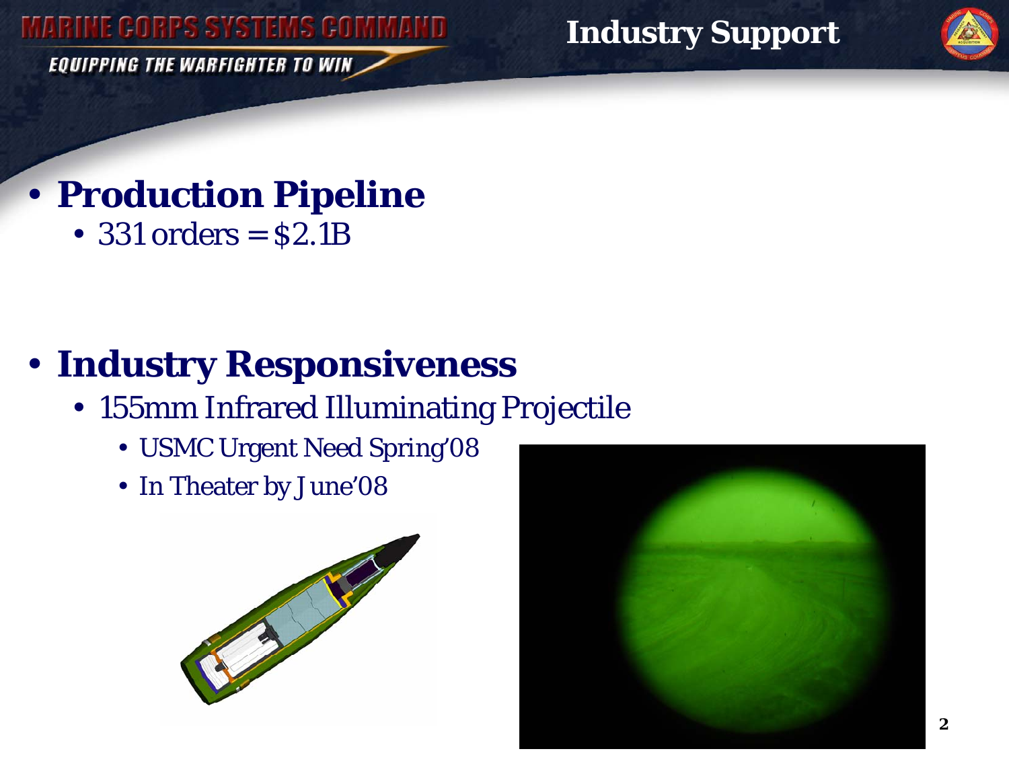**EQUIPPING THE WARFIGHTER TO WIN** 

**Industry Support** 



# • **Production Pipeline**

• 331 orders = \$2.1B

# • **Industry Responsiveness**

- 155mm Infrared Illuminating Projectile
	- USMC Urgent Need Spring'08
	- In Theater by June'08



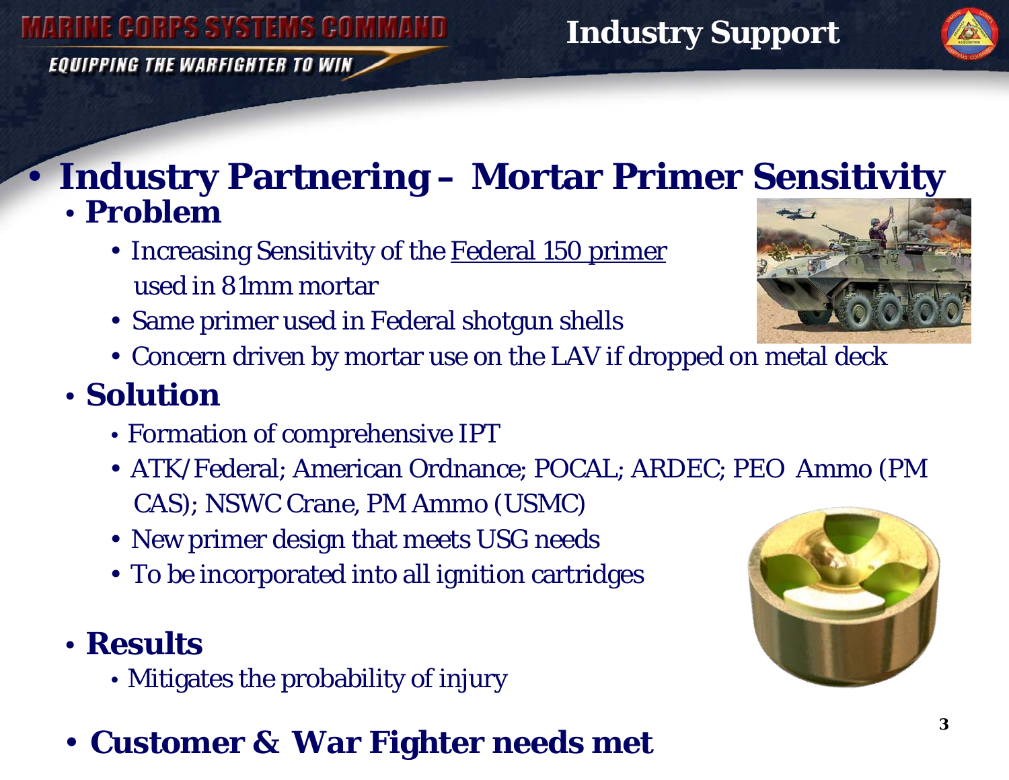**EQUIPPING THE WARFIGHTER TO WIN** 

### • **Industry Partnering – Mortar Primer Sensitivity**  • **Problem**

- Increasing Sensitivity of the <u>Federal 150 primer</u> used in 81mm mortar
- Same primer used in Federal shotgun shells
- Concern driven by mortar use on the LAV if dropped on metal deck

### • **Solution**

- Formation of comprehensive IPT
- ATK/Federal; American Ordnance; POCAL; ARDEC; PEO Ammo (PM CAS); NSWC Crane, PM Ammo (USMC)
- New primer design that meets USG needs
- To be incorporated into all ignition cartridges

### • **Results**

- Mitigates the probability of injury
- **Customer & War Fighter needs met**



**Industry Support** 



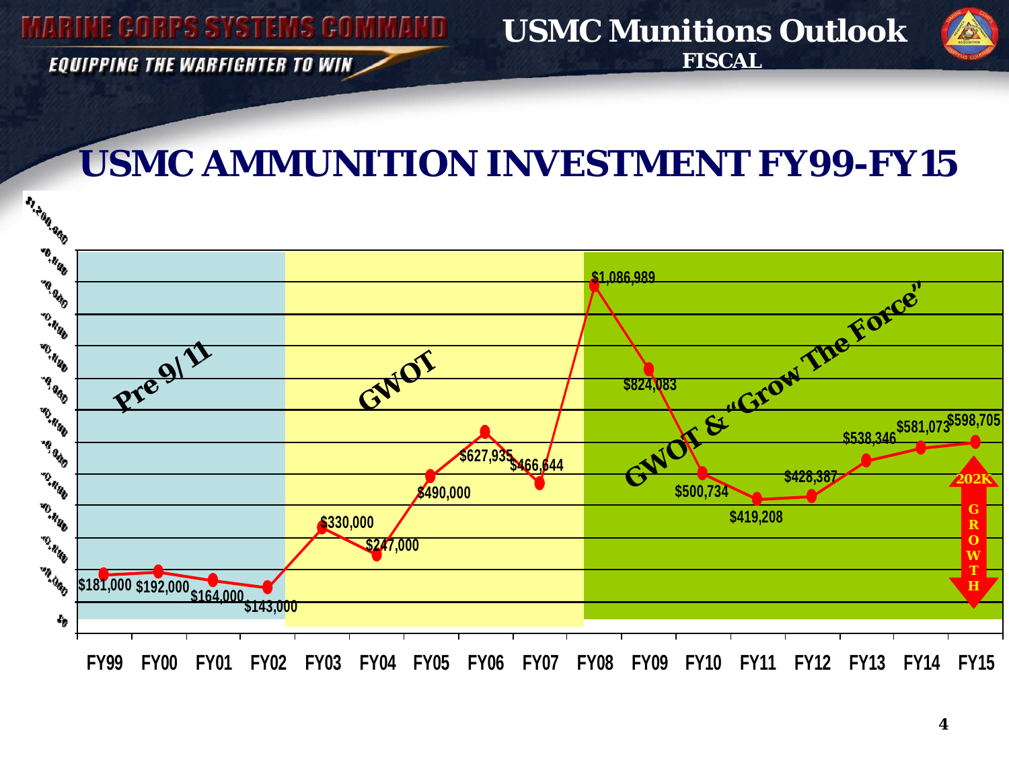**EQUIPPING THE WARFIGHTER TO WIN** 



## **USMC AMMUNITION INVESTMENT FY99-FY15**

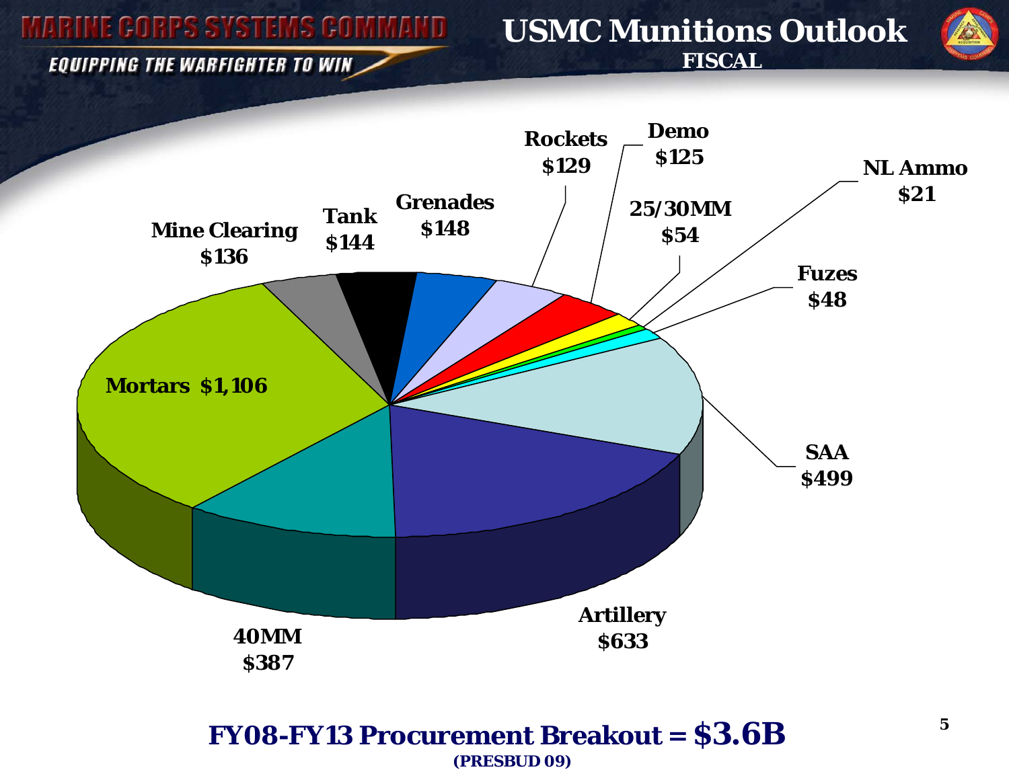#### **USMC Munitions Outlook FISCAL**

EQUIPPING THE WARFIGHTER TO WIN



#### **FY08-FY13 Procurement Breakout = \$3.6B (PRESBUD 09)**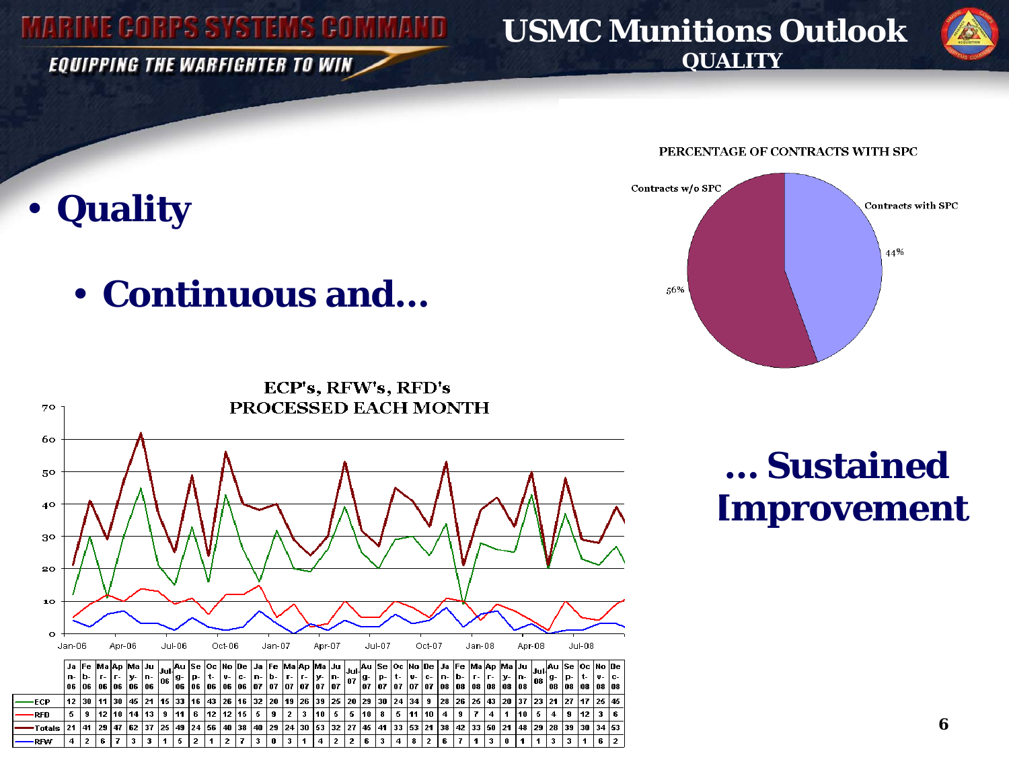**EQUIPPING THE WARFIGHTER TO WIN** 

•

**Quality** 

#### **USMC Munitions Outlook QUALITY**





PERCENTAGE OF CONTRACTS WITH SPC

# • **Continuous and…**



# **… SustainedImprovement**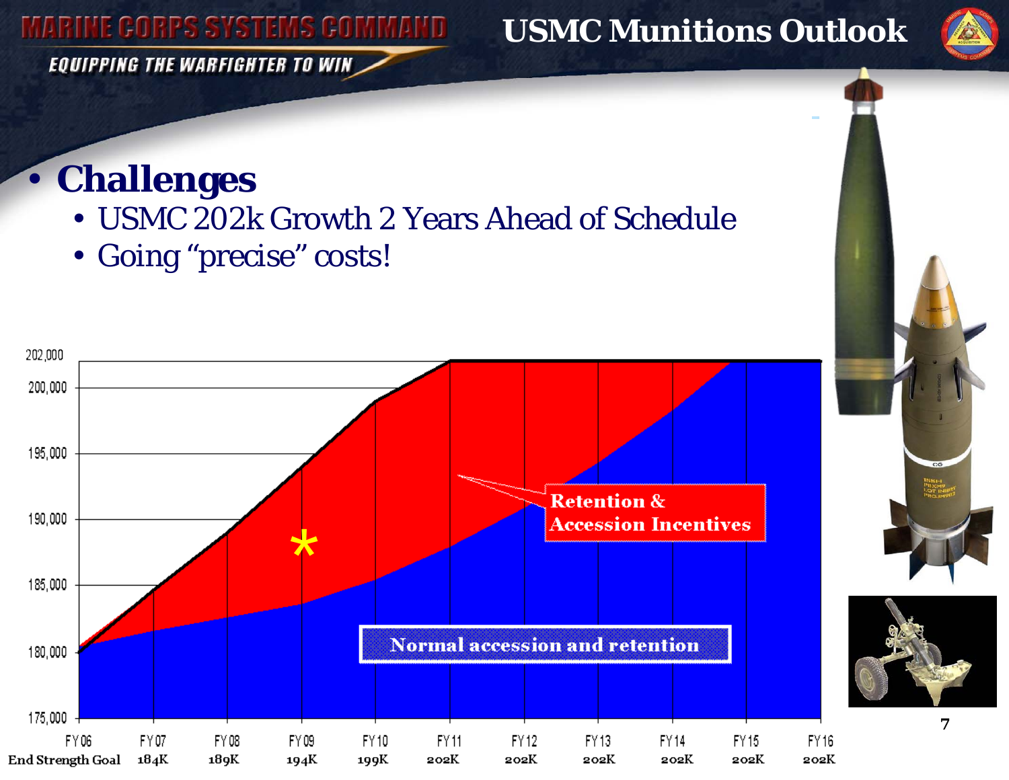**EQUIPPING THE WARFIGHTER TO WIN** 

### **USMC Munitions Outlook**



• **Challenges** 

- USMC 202k Growth 2 Years Ahead of Schedule
- Going "precise" costs!





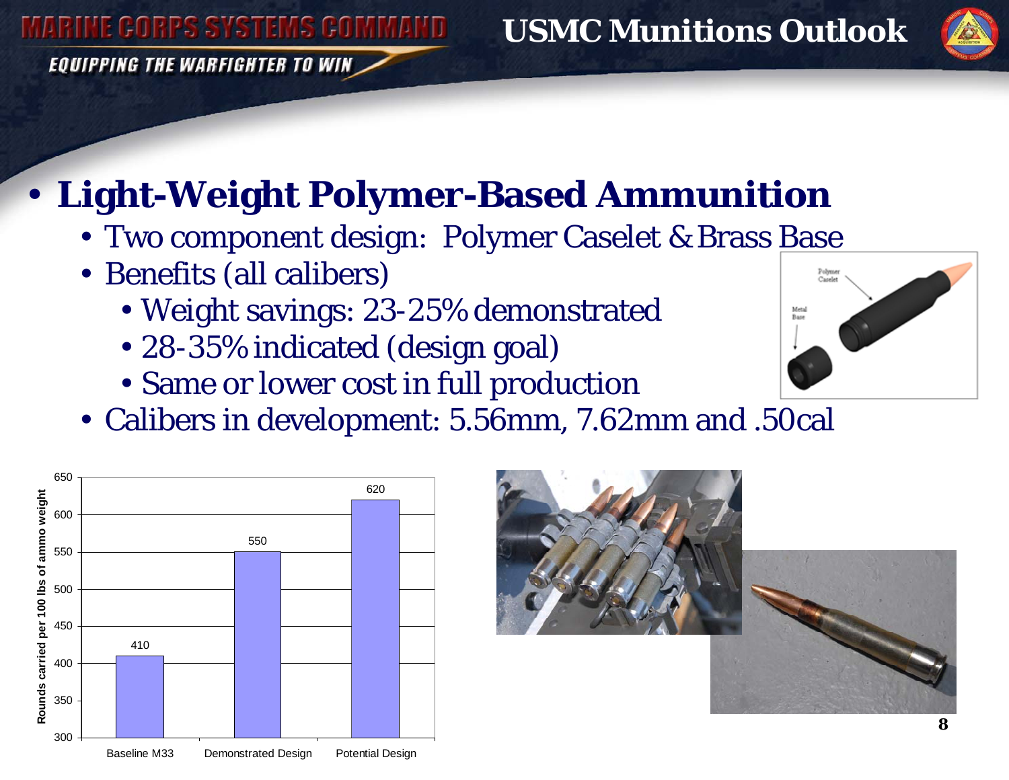**EQUIPPING THE WARFIGHTER TO WIN** 

### **USMC Munitions Outlook**



# • **Light-Weight Polymer-Based Ammunition**

- Two component design: Polymer Caselet & Brass <u>Base</u>
- Benefits (all calibers)
	- Weight savings: 23-25% demonstrated
	- 28-35% indicated (design goal)
	- Same or lower cost in full production
- Calibers in development: 5.56mm, 7.62mm and .50cal





Pohmu Candel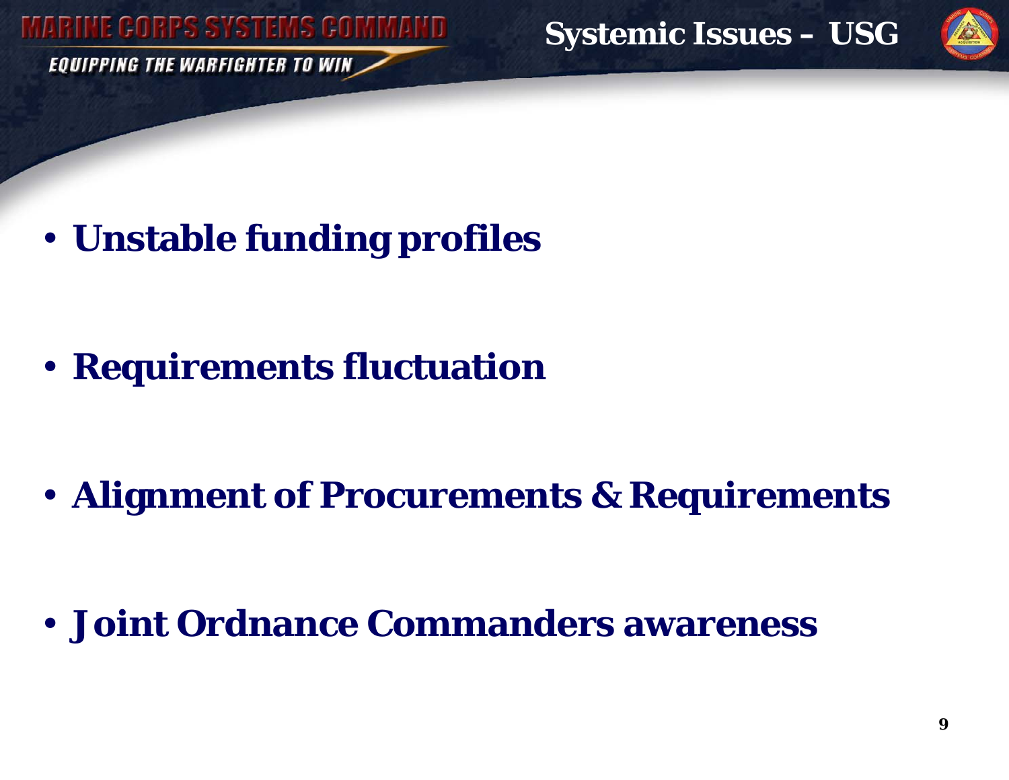**EQUIPPING THE WARFIGHTER TO WIN** 

**Systemic Issues – USG**



• **Unstable funding profiles**

• **Requirements fluctuation**

• **Alignment of Procurements & Requirements** 

• **Joint Ordnance Commanders awareness**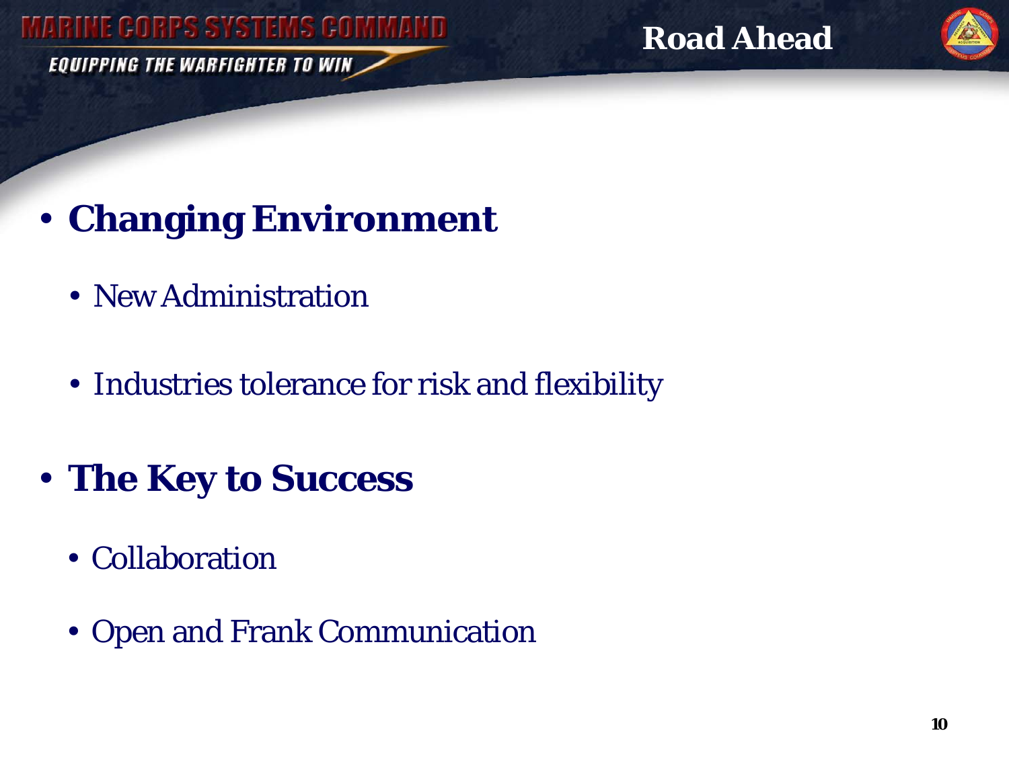EQUIPPING THE WARFIGHTER TO WIN

**Road Ahead**



• **Changing Environment**

- New Administration
- Industries tolerance for risk and flexibility
- **The Key to Success**
	- Collaboration
	- Open and Frank Communication